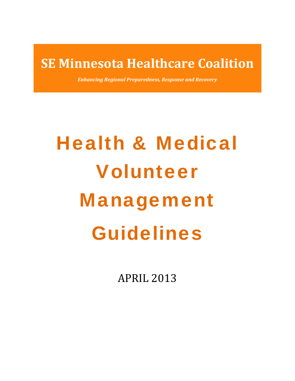# **SE Minnesota Healthcare Coalition**

*Enhancing Regional Preparedness, Response and Recovery*

# Health & Medical Volunteer Management Guidelines

APRIL 2013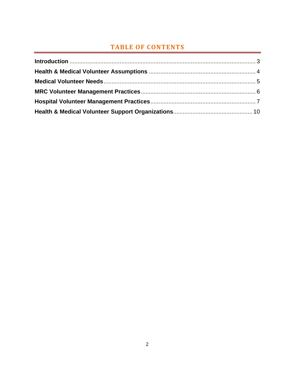# **TABLE OF CONTENTS**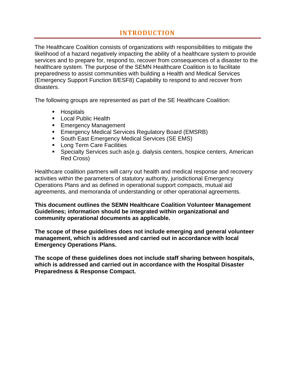# **INTRODUCTION**

The Healthcare Coalition consists of organizations with responsibilities to mitigate the likelihood of a hazard negatively impacting the ability of a healthcare system to provide services and to prepare for, respond to, recover from consequences of a disaster to the healthcare system. The purpose of the SEMN Healthcare Coalition is to facilitate preparedness to assist communities with building a Health and Medical Services (Emergency Support Function 8/ESF8) Capability to respond to and recover from disasters.

The following groups are represented as part of the SE Healthcare Coalition:

- **Hospitals**
- **Local Public Health**
- **Emergency Management**
- **Emergency Medical Services Regulatory Board (EMSRB)**
- **South East Emergency Medical Services (SE EMS)**
- **Long Term Care Facilities**
- Specialty Services such as(e.g. dialysis centers, hospice centers, American Red Cross)

Healthcare coalition partners will carry out health and medical response and recovery activities within the parameters of statutory authority, jurisdictional Emergency Operations Plans and as defined in operational support compacts, mutual aid agreements, and memoranda of understanding or other operational agreements.

**This document outlines the SEMN Healthcare Coalition Volunteer Management Guidelines; information should be integrated within organizational and community operational documents as applicable.** 

**The scope of these guidelines does not include emerging and general volunteer management, which is addressed and carried out in accordance with local Emergency Operations Plans.** 

**The scope of these guidelines does not include staff sharing between hospitals, which is addressed and carried out in accordance with the Hospital Disaster Preparedness & Response Compact.**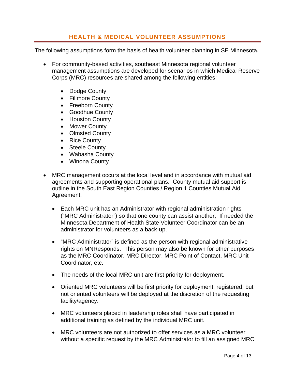### **HEALTH & MEDICAL VOLUNTEER ASSUMPTIONS**

The following assumptions form the basis of health volunteer planning in SE Minnesota.

- For community-based activities, southeast Minnesota regional volunteer management assumptions are developed for scenarios in which Medical Reserve Corps (MRC) resources are shared among the following entities:
	- Dodge County
	- Fillmore County
	- Freeborn County
	- Goodhue County
	- Houston County
	- Mower County
	- Olmsted County
	- Rice County
	- Steele County
	- Wabasha County
	- Winona County
- MRC management occurs at the local level and in accordance with mutual aid agreements and supporting operational plans. County mutual aid support is outline in the South East Region Counties / Region 1 Counties Mutual Aid Agreement.
	- Each MRC unit has an Administrator with regional administration rights ("MRC Administrator") so that one county can assist another, If needed the Minnesota Department of Health State Volunteer Coordinator can be an administrator for volunteers as a back-up.
	- "MRC Administrator" is defined as the person with regional administrative rights on MNResponds. This person may also be known for other purposes as the MRC Coordinator, MRC Director, MRC Point of Contact, MRC Unit Coordinator, etc.
	- The needs of the local MRC unit are first priority for deployment.
	- Oriented MRC volunteers will be first priority for deployment, registered, but not oriented volunteers will be deployed at the discretion of the requesting facility/agency.
	- MRC volunteers placed in leadership roles shall have participated in additional training as defined by the individual MRC unit.
	- MRC volunteers are not authorized to offer services as a MRC volunteer without a specific request by the MRC Administrator to fill an assigned MRC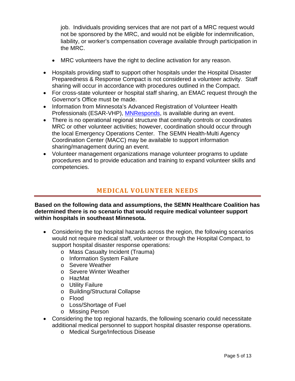job. Individuals providing services that are not part of a MRC request would not be sponsored by the MRC, and would not be eligible for indemnification, liability, or worker's compensation coverage available through participation in the MRC.

- MRC volunteers have the right to decline activation for any reason.
- Hospitals providing staff to support other hospitals under the Hospital Disaster Preparedness & Response Compact is not considered a volunteer activity. Staff sharing will occur in accordance with procedures outlined in the Compact.
- For cross-state volunteer or hospital staff sharing, an EMAC request through the Governor's Office must be made.
- Information from Minnesota's Advanced Registration of Volunteer Health Professionals (ESAR-VHP), **MNResponds**, is available during an event.
- There is no operational regional structure that centrally controls or coordinates MRC or other volunteer activities; however, coordination should occur through the local Emergency Operations Center. The SEMN Health-Multi Agency Coordination Center (MACC) may be available to support information sharing/management during an event.
- Volunteer management organizations manage volunteer programs to update procedures and to provide education and training to expand volunteer skills and competencies.

## **MEDICAL VOLUNTEER NEEDS**

#### **Based on the following data and assumptions, the SEMN Healthcare Coalition has determined there is no scenario that would require medical volunteer support within hospitals in southeast Minnesota.**

- Considering the top hospital hazards across the region, the following scenarios would not require medical staff, volunteer or through the Hospital Compact, to support hospital disaster response operations:
	- o Mass Casualty Incident (Trauma)
	- o Information System Failure
	- o Severe Weather
	- o Severe Winter Weather
	- o HazMat
	- o Utility Failure
	- o Building/Structural Collapse
	- o Flood
	- o Loss/Shortage of Fuel
	- o Missing Person
- Considering the top regional hazards, the following scenario could necessitate additional medical personnel to support hospital disaster response operations.
	- o Medical Surge/Infectious Disease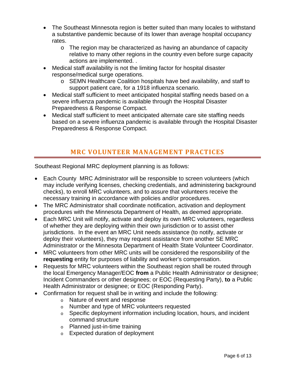- The Southeast Minnesota region is better suited than many locales to withstand a substantive pandemic because of its lower than average hospital occupancy rates.
	- o The region may be characterized as having an abundance of capacity relative to many other regions in the country even before surge capacity actions are implemented. .
- Medical staff availability is not the limiting factor for hospital disaster response/medical surge operations.
	- o SEMN Healthcare Coalition hospitals have bed availability, and staff to support patient care, for a 1918 influenza scenario.
- Medical staff sufficient to meet anticipated hospital staffing needs based on a severe influenza pandemic is available through the Hospital Disaster Preparedness & Response Compact.
- Medical staff sufficient to meet anticipated alternate care site staffing needs based on a severe influenza pandemic is available through the Hospital Disaster Preparedness & Response Compact.

# **MRC VOLUNTEER MANAGEMENT PRACTICES**

Southeast Regional MRC deployment planning is as follows:

- Each County MRC Administrator will be responsible to screen volunteers (which may include verifying licenses, checking credentials, and administering background checks), to enroll MRC volunteers, and to assure that volunteers receive the necessary training in accordance with policies and/or procedures.
- The MRC Administrator shall coordinate notification, activation and deployment procedures with the Minnesota Department of Health, as deemed appropriate.
- Each MRC Unit will notify, activate and deploy its own MRC volunteers, regardless of whether they are deploying within their own jurisdiction or to assist other jurisdictions. In the event an MRC Unit needs assistance (to notify, activate or deploy their volunteers), they may request assistance from another SE MRC Administrator or the Minnesota Department of Health State Volunteer Coordinator.
- MRC volunteers from other MRC units will be considered the responsibility of the **requesting** entity for purposes of liability and worker's compensation.
- Requests for MRC volunteers within the Southeast region shall be routed through the local Emergency Manager/EOC **from** a Public Health Administrator or designee; Incident Commanders or other designees; or EOC (Requesting Party), **to** a Public Health Administrator or designee; or EOC (Responding Party).
- Confirmation for request shall be in writing and include the following:
	- o Nature of event and response
	- o Number and type of MRC volunteers requested
	- o Specific deployment information including location, hours, and incident command structure
	- o Planned just-in-time training
	- o Expected duration of deployment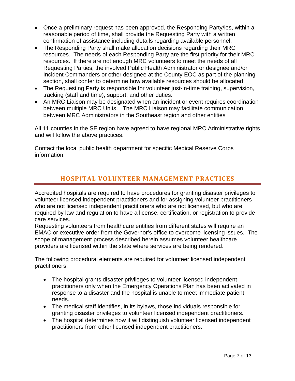- Once a preliminary request has been approved, the Responding Party/ies, within a reasonable period of time, shall provide the Requesting Party with a written confirmation of assistance including details regarding available personnel.
- The Responding Party shall make allocation decisions regarding their MRC resources. The needs of each Responding Party are the first priority for their MRC resources. If there are not enough MRC volunteers to meet the needs of all Requesting Parties, the involved Public Health Administrator or designee and/or Incident Commanders or other designee at the County EOC as part of the planning section, shall confer to determine how available resources should be allocated.
- The Requesting Party is responsible for volunteer just-in-time training, supervision, tracking (staff and time), support, and other duties.
- An MRC Liaison may be designated when an incident or event requires coordination between multiple MRC Units. The MRC Liaison may facilitate communication between MRC Administrators in the Southeast region and other entities

All 11 counties in the SE region have agreed to have regional MRC Administrative rights and will follow the above practices.

Contact the local public health department for specific Medical Reserve Corps information.

# **HOSPITAL VOLUNTEER MANAGEMENT PRACTICES**

Accredited hospitals are required to have procedures for granting disaster privileges to volunteer licensed independent practitioners and for assigning volunteer practitioners who are not licensed independent practitioners who are not licensed, but who are required by law and regulation to have a license, certification, or registration to provide care services.

Requesting volunteers from healthcare entities from different states will require an EMAC or executive order from the Governor's office to overcome licensing issues. The scope of management process described herein assumes volunteer healthcare providers are licensed within the state where services are being rendered.

The following procedural elements are required for volunteer licensed independent practitioners:

- The hospital grants disaster privileges to volunteer licensed independent practitioners only when the Emergency Operations Plan has been activated in response to a disaster and the hospital is unable to meet immediate patient needs.
- The medical staff identifies, in its bylaws, those individuals responsible for granting disaster privileges to volunteer licensed independent practitioners.
- The hospital determines how it will distinguish volunteer licensed independent practitioners from other licensed independent practitioners.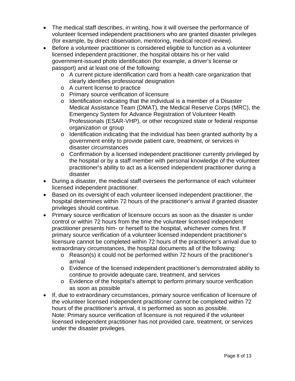- The medical staff describes, in writing, how it will oversee the performance of volunteer licensed independent practitioners who are granted disaster privileges (for example, by direct observation, mentoring, medical record review).
- Before a volunteer practitioner is considered eligible to function as a volunteer licensed independent practitioner, the hospital obtains his or her valid government-issued photo identification (for example, a driver's license or passport) and at least one of the following:
	- o A current picture identification card from a health care organization that clearly identifies professional designation
	- o A current license to practice
	- o Primary source verification of licensure
	- $\circ$  Identification indicating that the individual is a member of a Disaster Medical Assistance Team (DMAT), the Medical Reserve Corps (MRC), the Emergency System for Advance Registration of Volunteer Health Professionals (ESAR-VHP), or other recognized state or federal response organization or group
	- o Identification indicating that the individual has been granted authority by a government entity to provide patient care, treatment, or services in disaster circumstances
	- o Confirmation by a licensed independent practitioner currently privileged by the hospital or by a staff member with personal knowledge of the volunteer practitioner's ability to act as a licensed independent practitioner during a disaster
- During a disaster, the medical staff oversees the performance of each volunteer licensed independent practitioner.
- Based on its oversight of each volunteer licensed independent practitioner, the hospital determines within 72 hours of the practitioner's arrival if granted disaster privileges should continue.
- Primary source verification of licensure occurs as soon as the disaster is under control or within 72 hours from the time the volunteer licensed independent practitioner presents him- or herself to the hospital, whichever comes first. If primary source verification of a volunteer licensed independent practitioner's licensure cannot be completed within 72 hours of the practitioner's arrival due to extraordinary circumstances, the hospital documents all of the following:
	- o Reason(s) it could not be performed within 72 hours of the practitioner's arrival
	- o Evidence of the licensed independent practitioner's demonstrated ability to continue to provide adequate care, treatment, and services
	- o Evidence of the hospital's attempt to perform primary source verification as soon as possible
- If, due to extraordinary circumstances, primary source verification of licensure of the volunteer licensed independent practitioner cannot be completed within 72 hours of the practitioner's arrival, it is performed as soon as possible. Note: Primary source verification of licensure is not required if the volunteer licensed independent practitioner has not provided care, treatment, or services under the disaster privileges.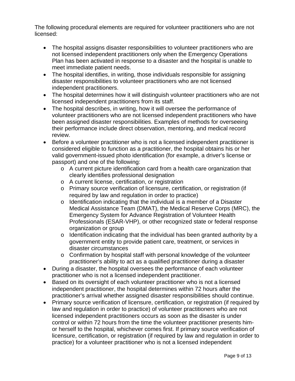The following procedural elements are required for volunteer practitioners who are not licensed:

- The hospital assigns disaster responsibilities to volunteer practitioners who are not licensed independent practitioners only when the Emergency Operations Plan has been activated in response to a disaster and the hospital is unable to meet immediate patient needs.
- The hospital identifies, in writing, those individuals responsible for assigning disaster responsibilities to volunteer practitioners who are not licensed independent practitioners.
- The hospital determines how it will distinguish volunteer practitioners who are not licensed independent practitioners from its staff.
- The hospital describes, in writing, how it will oversee the performance of volunteer practitioners who are not licensed independent practitioners who have been assigned disaster responsibilities. Examples of methods for overseeing their performance include direct observation, mentoring, and medical record review.
- Before a volunteer practitioner who is not a licensed independent practitioner is considered eligible to function as a practitioner, the hospital obtains his or her valid government-issued photo identification (for example, a driver's license or passport) and one of the following:
	- $\circ$  A current picture identification card from a health care organization that clearly identifies professional designation
	- o A current license, certification, or registration
	- o Primary source verification of licensure, certification, or registration (if required by law and regulation in order to practice)
	- o Identification indicating that the individual is a member of a Disaster Medical Assistance Team (DMAT), the Medical Reserve Corps (MRC), the Emergency System for Advance Registration of Volunteer Health Professionals (ESAR-VHP), or other recognized state or federal response organization or group
	- $\circ$  Identification indicating that the individual has been granted authority by a government entity to provide patient care, treatment, or services in disaster circumstances
	- o Confirmation by hospital staff with personal knowledge of the volunteer practitioner's ability to act as a qualified practitioner during a disaster
- During a disaster, the hospital oversees the performance of each volunteer practitioner who is not a licensed independent practitioner.
- Based on its oversight of each volunteer practitioner who is not a licensed independent practitioner, the hospital determines within 72 hours after the practitioner's arrival whether assigned disaster responsibilities should continue.
- Primary source verification of licensure, certification, or registration (if required by law and regulation in order to practice) of volunteer practitioners who are not licensed independent practitioners occurs as soon as the disaster is under control or within 72 hours from the time the volunteer practitioner presents himor herself to the hospital, whichever comes first. If primary source verification of licensure, certification, or registration (if required by law and regulation in order to practice) for a volunteer practitioner who is not a licensed independent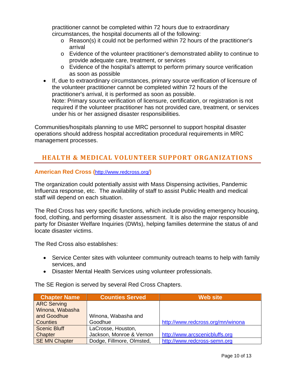practitioner cannot be completed within 72 hours due to extraordinary circumstances, the hospital documents all of the following:

- o Reason(s) it could not be performed within 72 hours of the practitioner's arrival
- o Evidence of the volunteer practitioner's demonstrated ability to continue to provide adequate care, treatment, or services
- o Evidence of the hospital's attempt to perform primary source verification as soon as possible
- If, due to extraordinary circumstances, primary source verification of licensure of the volunteer practitioner cannot be completed within 72 hours of the practitioner's arrival, it is performed as soon as possible. Note: Primary source verification of licensure, certification, or registration is not required if the volunteer practitioner has not provided care, treatment, or services under his or her assigned disaster responsibilities.

Communities/hospitals planning to use MRC personnel to support hospital disaster operations should address hospital accreditation procedural requirements in MRC management processes.

# **HEALTH & MEDICAL VOLUNTEER SUPPORT ORGANIZATIONS**

#### **American Red Cross (**http://www.redcross.org/**)**

The organization could potentially assist with Mass Dispensing activities, Pandemic Influenza response, etc. The availability of staff to assist Public Health and medical staff will depend on each situation.

The Red Cross has very specific functions, which include providing emergency housing, food, clothing, and performing disaster assessment. It is also the major responsible party for Disaster Welfare Inquiries (DWIs), helping families determine the status of and locate disaster victims.

The Red Cross also establishes:

- Service Center sites with volunteer community outreach teams to help with family services, and
- Disaster Mental Health Services using volunteer professionals.

The SE Region is served by several Red Cross Chapters.

| <b>Chapter Name</b>  | <b>Counties Served</b>    | <b>Web site</b>                   |
|----------------------|---------------------------|-----------------------------------|
| <b>ARC Serving</b>   |                           |                                   |
| Winona, Wabasha      |                           |                                   |
| and Goodhue          | Winona, Wabasha and       |                                   |
| <b>Counties</b>      | Goodhue                   | http://www.redcross.org/mn/winona |
| <b>Scenic Bluff</b>  | LaCrosse, Houston,        |                                   |
| Chapter              | Jackson, Monroe & Vernon  | http://www.arcscenicbluffs.org    |
| <b>SE MN Chapter</b> | Dodge, Fillmore, Olmsted, | http://www.redcross-semn.org      |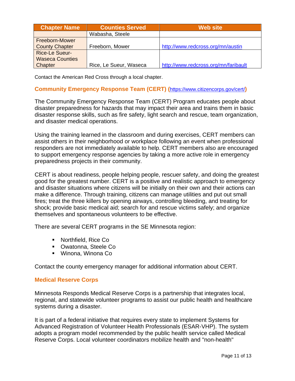| <b>Chapter Name</b>    | <b>Counties Served</b> | <b>Web site</b>                      |
|------------------------|------------------------|--------------------------------------|
|                        | Wabasha, Steele        |                                      |
| <b>Freeborn-Mower</b>  |                        |                                      |
| <b>County Chapter</b>  | Freeborn, Mower        | http://www.redcross.org/mn/austin    |
| <b>Rice-Le Sueur-</b>  |                        |                                      |
| <b>Waseca Counties</b> |                        |                                      |
| Chapter                | Rice, Le Sueur, Waseca | http://www.redcross.org/mn/faribault |

Contact the American Red Cross through a local chapter.

#### **Community Emergency Response Team (CERT) (**https://www.citizencorps.gov/cert/**)**

The Community Emergency Response Team (CERT) Program educates people about disaster preparedness for hazards that may impact their area and trains them in basic disaster response skills, such as fire safety, light search and rescue, team organization, and disaster medical operations.

Using the training learned in the classroom and during exercises, CERT members can assist others in their neighborhood or workplace following an event when professional responders are not immediately available to help. CERT members also are encouraged to support emergency response agencies by taking a more active role in emergency preparedness projects in their community.

CERT is about readiness, people helping people, rescuer safety, and doing the greatest good for the greatest number. CERT is a positive and realistic approach to emergency and disaster situations where citizens will be initially on their own and their actions can make a difference. Through training, citizens can manage utilities and put out small fires; treat the three killers by opening airways, controlling bleeding, and treating for shock; provide basic medical aid; search for and rescue victims safely; and organize themselves and spontaneous volunteers to be effective.

There are several CERT programs in the SE Minnesota region:

- Northfield, Rice Co
- **Owatonna, Steele Co**
- Winona, Winona Co

Contact the county emergency manager for additional information about CERT.

#### **Medical Reserve Corps**

Minnesota Responds Medical Reserve Corps is a partnership that integrates local, regional, and statewide volunteer programs to assist our public health and healthcare systems during a disaster.

It is part of a federal initiative that requires every state to implement Systems for Advanced Registration of Volunteer Health Professionals (ESAR-VHP). The system adopts a program model recommended by the public health service called Medical Reserve Corps. Local volunteer coordinators mobilize health and "non-health"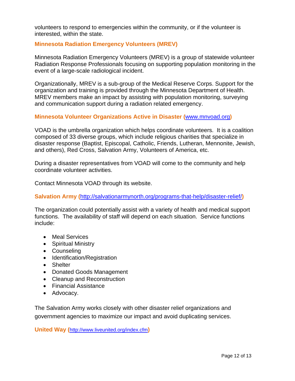volunteers to respond to emergencies within the community, or if the volunteer is interested, within the state.

#### **Minnesota Radiation Emergency Volunteers (MREV)**

Minnesota Radiation Emergency Volunteers (MREV) is a group of statewide volunteer Radiation Response Professionals focusing on supporting population monitoring in the event of a large-scale radiological incident.

Organizationally, MREV is a sub-group of the Medical Reserve Corps. Support for the organization and training is provided through the Minnesota Department of Health. MREV members make an impact by assisting with population monitoring, surveying and communication support during a radiation related emergency.

#### **Minnesota Volunteer Organizations Active in Disaster (**www.mnvoad.org**)**

VOAD is the umbrella organization which helps coordinate volunteers. It is a coalition composed of 33 diverse groups, which include religious charities that specialize in disaster response (Baptist, Episcopal, Catholic, Friends, Lutheran, Mennonite, Jewish, and others), Red Cross, Salvation Army, Volunteers of America, etc.

During a disaster representatives from VOAD will come to the community and help coordinate volunteer activities.

Contact Minnesota VOAD through its website.

**Salvation Army (**http://salvationarmynorth.org/programs-that-help/disaster-relief/**)** 

The organization could potentially assist with a variety of health and medical support functions. The availability of staff will depend on each situation. Service functions include:

- Meal Services
- Spiritual Ministry
- Counseling
- Identification/Registration
- Shelter
- Donated Goods Management
- Cleanup and Reconstruction
- Financial Assistance
- Advocacy.

The Salvation Army works closely with other disaster relief organizations and government agencies to maximize our impact and avoid duplicating services.

**United Way (**http://www.liveunited.org/index.cfm**)**